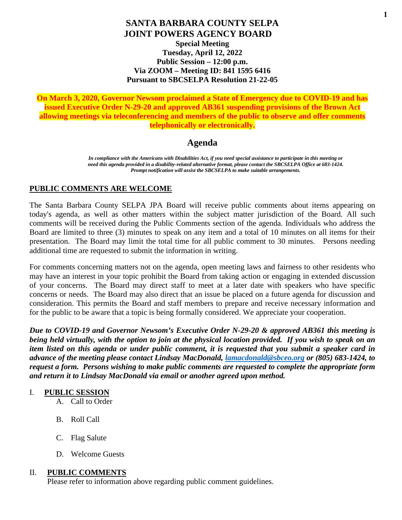#### **SANTA BARBARA COUNTY SELPA JOINT POWERS AGENCY BOARD Special Meeting Tuesday, April 12, 2022 Public Session – 12:00 p.m. Via ZOOM – Meeting ID: 841 1595 6416 Pursuant to SBCSELPA Resolution 21-22-05**

**On March 3, 2020, Governor Newsom proclaimed a State of Emergency due to COVID-19 and has issued Executive Order N-29-20 and approved AB361 suspending provisions of the Brown Act allowing meetings via teleconferencing and members of the public to observe and offer comments telephonically or electronically.** 

# **Agenda**

*In compliance with the Americans with Disabilities Act, if you need special assistance to participate in this meeting or need this agenda provided in a disability-related alternative format, please contact the SBCSELPA Office at 683-1424. Prompt notification will assist the SBCSELPA to make suitable arrangements.*

#### **PUBLIC COMMENTS ARE WELCOME**

The Santa Barbara County SELPA JPA Board will receive public comments about items appearing on today's agenda, as well as other matters within the subject matter jurisdiction of the Board. All such comments will be received during the Public Comments section of the agenda. Individuals who address the Board are limited to three (3) minutes to speak on any item and a total of 10 minutes on all items for their presentation. The Board may limit the total time for all public comment to 30 minutes. Persons needing additional time are requested to submit the information in writing.

For comments concerning matters not on the agenda, open meeting laws and fairness to other residents who may have an interest in your topic prohibit the Board from taking action or engaging in extended discussion of your concerns. The Board may direct staff to meet at a later date with speakers who have specific concerns or needs. The Board may also direct that an issue be placed on a future agenda for discussion and consideration. This permits the Board and staff members to prepare and receive necessary information and for the public to be aware that a topic is being formally considered. We appreciate your cooperation.

*Due to COVID-19 and Governor Newsom's Executive Order N-29-20 & approved AB361 this meeting is being held virtually, with the option to join at the physical location provided. If you wish to speak on an item listed on this agenda or under public comment, it is requested that you submit a speaker card in advance of the meeting please contact Lindsay MacDonald, [lamacdonald@sbceo.org](mailto:lamacdonald@sbceo.org) or (805) 683-1424, to request a form. Persons wishing to make public comments are requested to complete the appropriate form and return it to Lindsay MacDonald via email or another agreed upon method.* 

#### I. **PUBLIC SESSION**

- A. Call to Order
- B. Roll Call
- C. Flag Salute
- D. Welcome Guests

#### II. **PUBLIC COMMENTS**

Please refer to information above regarding public comment guidelines.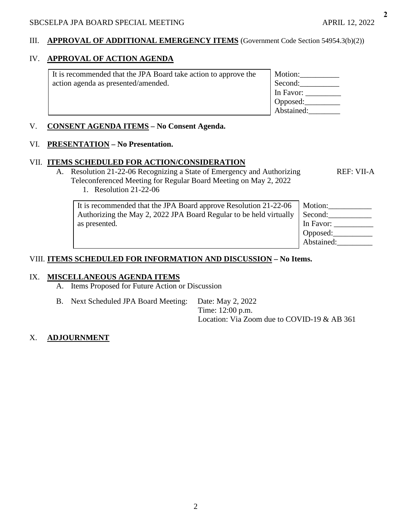#### III. **APPROVAL OF ADDITIONAL EMERGENCY ITEMS** (Government Code Section 54954.3(b)(2))

# IV. **APPROVAL OF ACTION AGENDA**

It is recommended that the JPA Board take action to approve the action agenda as presented/amended. Motion:\_\_\_\_\_\_\_\_\_\_ Second: In Favor: \_\_\_\_\_\_\_\_\_ Opposed:\_\_\_\_\_\_\_\_\_ Abstained:\_\_\_\_\_\_\_\_

#### V. **CONSENT AGENDA ITEMS – No Consent Agenda.**

#### VI. **PRESENTATION – No Presentation.**

#### VII. **ITEMS SCHEDULED FOR ACTION/CONSIDERATION**

- A. Resolution 21-22-06 Recognizing a State of Emergency and Authorizing REF: VII-A Teleconferenced Meeting for Regular Board Meeting on May 2, 2022
	- 1. Resolution 21-22-06

| It is recommended that the JPA Board approve Resolution 21-22-06<br>Authorizing the May 2, 2022 JPA Board Regular to be held virtually<br>as presented. | Motion:<br>Second:<br>In Favor:<br>  Opposed: |
|---------------------------------------------------------------------------------------------------------------------------------------------------------|-----------------------------------------------|
|                                                                                                                                                         | Abstained:                                    |

## VIII. **ITEMS SCHEDULED FOR INFORMATION AND DISCUSSION – No Items.**

#### IX. **MISCELLANEOUS AGENDA ITEMS**

- A. Items Proposed for Future Action or Discussion
- B. Next Scheduled JPA Board Meeting: Date: May 2, 2022

Time: 12:00 p.m. Location: Via Zoom due to COVID-19 & AB 361

#### X. **ADJOURNMENT**

**2**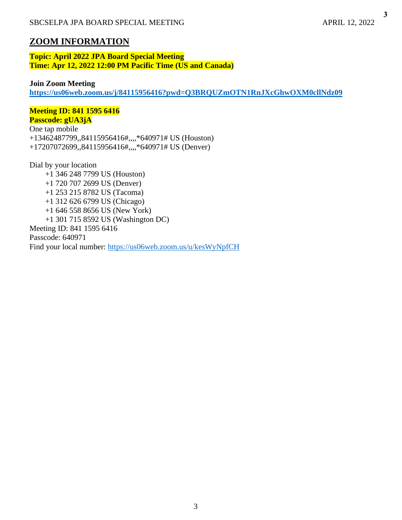**3**

# **ZOOM INFORMATION**

**Topic: April 2022 JPA Board Special Meeting Time: Apr 12, 2022 12:00 PM Pacific Time (US and Canada)**

#### **Join Zoom Meeting**

**<https://us06web.zoom.us/j/84115956416?pwd=Q3BRQUZmOTN1RnJXcGhwOXM0cllNdz09>**

#### **Meeting ID: 841 1595 6416 Passcode: gUA3jA**

One tap mobile +13462487799,,84115956416#,,,,\*640971# US (Houston) +17207072699,,84115956416#,,,,\*640971# US (Denver)

Dial by your location +1 346 248 7799 US (Houston) +1 720 707 2699 US (Denver) +1 253 215 8782 US (Tacoma) +1 312 626 6799 US (Chicago) +1 646 558 8656 US (New York) +1 301 715 8592 US (Washington DC) Meeting ID: 841 1595 6416 Passcode: 640971 Find your local number:<https://us06web.zoom.us/u/kesWyNpfCH>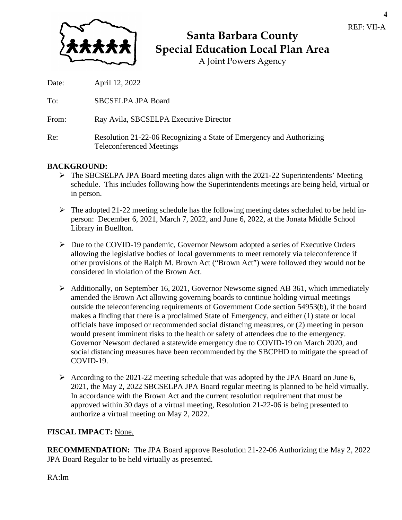

# **Santa Barbara County Special Education Local Plan Area**

A Joint Powers Agency

Date: April 12, 2022

To: SBCSELPA JPA Board

From: Ray Avila, SBCSELPA Executive Director

Re: Resolution 21-22-06 Recognizing a State of Emergency and Authorizing Teleconferenced Meetings

# **BACKGROUND:**

- $\triangleright$  The SBCSELPA JPA Board meeting dates align with the 2021-22 Superintendents' Meeting schedule. This includes following how the Superintendents meetings are being held, virtual or in person.
- $\triangleright$  The adopted 21-22 meeting schedule has the following meeting dates scheduled to be held inperson: December 6, 2021, March 7, 2022, and June 6, 2022, at the Jonata Middle School Library in Buellton.
- Due to the COVID-19 pandemic, Governor Newsom adopted a series of Executive Orders allowing the legislative bodies of local governments to meet remotely via teleconference if other provisions of the Ralph M. Brown Act ("Brown Act") were followed they would not be considered in violation of the Brown Act.
- $\triangleright$  Additionally, on September 16, 2021, Governor Newsome signed AB 361, which immediately amended the Brown Act allowing governing boards to continue holding virtual meetings outside the teleconferencing requirements of Government Code section 54953(b), if the board makes a finding that there is a proclaimed State of Emergency, and either (1) state or local officials have imposed or recommended social distancing measures, or (2) meeting in person would present imminent risks to the health or safety of attendees due to the emergency. Governor Newsom declared a statewide emergency due to COVID-19 on March 2020, and social distancing measures have been recommended by the SBCPHD to mitigate the spread of COVID-19.
- $\triangleright$  According to the 2021-22 meeting schedule that was adopted by the JPA Board on June 6, 2021, the May 2, 2022 SBCSELPA JPA Board regular meeting is planned to be held virtually. In accordance with the Brown Act and the current resolution requirement that must be approved within 30 days of a virtual meeting, Resolution 21-22-06 is being presented to authorize a virtual meeting on May 2, 2022.

### **FISCAL IMPACT:** None.

**RECOMMENDATION:** The JPA Board approve Resolution 21-22-06 Authorizing the May 2, 2022 JPA Board Regular to be held virtually as presented.

RA:lm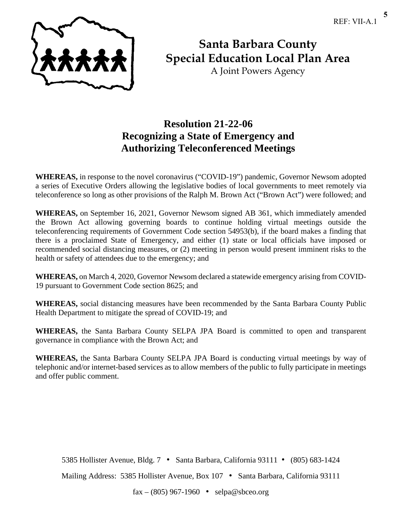**5**



**Santa Barbara County Special Education Local Plan Area**

A Joint Powers Agency

# **Resolution 21-22-06 Recognizing a State of Emergency and Authorizing Teleconferenced Meetings**

**WHEREAS,** in response to the novel coronavirus ("COVID-19") pandemic, Governor Newsom adopted a series of Executive Orders allowing the legislative bodies of local governments to meet remotely via teleconference so long as other provisions of the Ralph M. Brown Act ("Brown Act") were followed; and

**WHEREAS,** on September 16, 2021, Governor Newsom signed AB 361, which immediately amended the Brown Act allowing governing boards to continue holding virtual meetings outside the teleconferencing requirements of Government Code section 54953(b), if the board makes a finding that there is a proclaimed State of Emergency, and either (1) state or local officials have imposed or recommended social distancing measures, or (2) meeting in person would present imminent risks to the health or safety of attendees due to the emergency; and

**WHEREAS,** on March 4, 2020, Governor Newsom declared a statewide emergency arising from COVID-19 pursuant to Government Code section 8625; and

**WHEREAS,** social distancing measures have been recommended by the Santa Barbara County Public Health Department to mitigate the spread of COVID-19; and

**WHEREAS,** the Santa Barbara County SELPA JPA Board is committed to open and transparent governance in compliance with the Brown Act; and

**WHEREAS,** the Santa Barbara County SELPA JPA Board is conducting virtual meetings by way of telephonic and/or internet-based services as to allow members of the public to fully participate in meetings and offer public comment.

5385 Hollister Avenue, Bldg. 7 • Santa Barbara, California 93111 • (805) 683-1424

Mailing Address: 5385 Hollister Avenue, Box 107 • Santa Barbara, California 93111